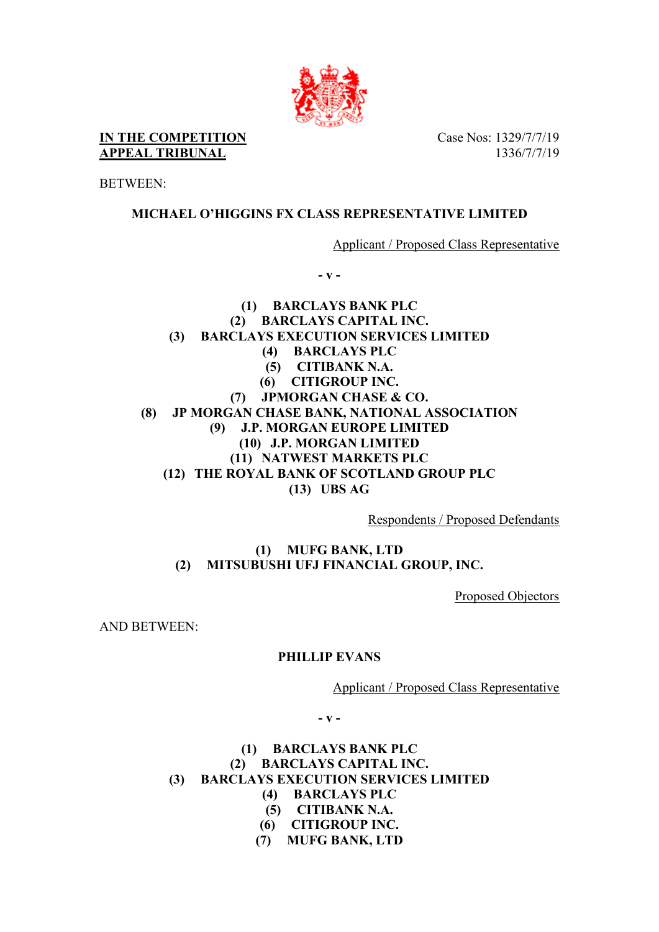

**IN THE COMPETITION APPEAL TRIBUNAL**

Case Nos: 1329/7/7/19 1336/7/7/19

BETWEEN:

## **MICHAEL O'HIGGINS FX CLASS REPRESENTATIVE LIMITED**

Applicant / Proposed Class Representative

**- v -** 

**(1) BARCLAYS BANK PLC (2) BARCLAYS CAPITAL INC. (3) BARCLAYS EXECUTION SERVICES LIMITED (4) BARCLAYS PLC (5) CITIBANK N.A. (6) CITIGROUP INC. (7) JPMORGAN CHASE & CO. (8) JP MORGAN CHASE BANK, NATIONAL ASSOCIATION (9) J.P. MORGAN EUROPE LIMITED (10) J.P. MORGAN LIMITED (11) NATWEST MARKETS PLC (12) THE ROYAL BANK OF SCOTLAND GROUP PLC (13) UBS AG**

Respondents / Proposed Defendants

**(1) MUFG BANK, LTD (2) MITSUBUSHI UFJ FINANCIAL GROUP, INC.**

Proposed Objectors

AND BETWEEN:

## **PHILLIP EVANS**

Applicant / Proposed Class Representative

**- v -** 

## **(1) BARCLAYS BANK PLC (2) BARCLAYS CAPITAL INC. (3) BARCLAYS EXECUTION SERVICES LIMITED (4) BARCLAYS PLC**

- **(5) CITIBANK N.A.**
- **(6) CITIGROUP INC.**
- **(7) MUFG BANK, LTD**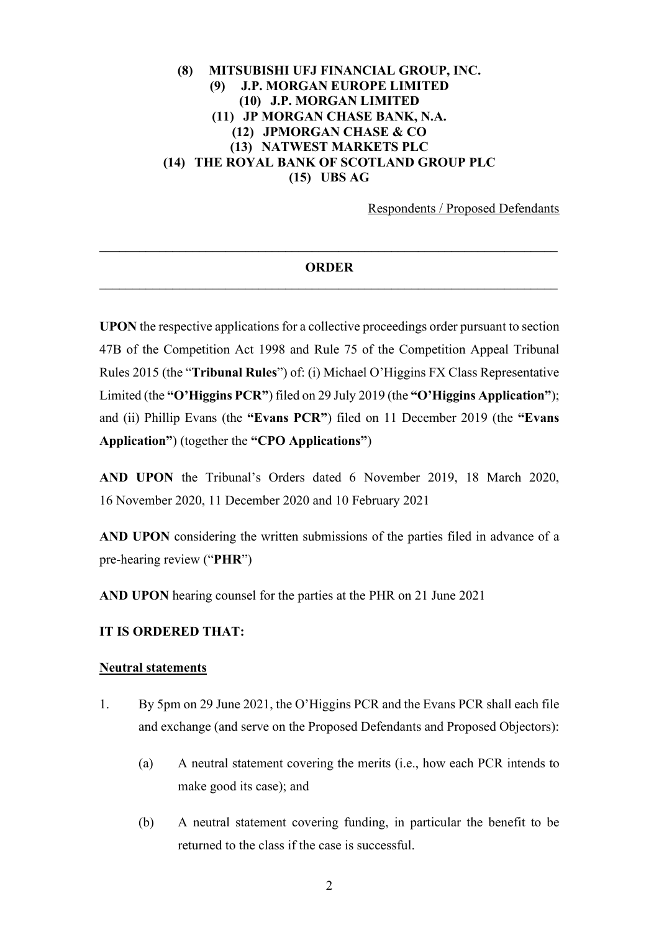## **(8) MITSUBISHI UFJ FINANCIAL GROUP, INC. (9) J.P. MORGAN EUROPE LIMITED (10) J.P. MORGAN LIMITED (11) JP MORGAN CHASE BANK, N.A. (12) JPMORGAN CHASE & CO (13) NATWEST MARKETS PLC (14) THE ROYAL BANK OF SCOTLAND GROUP PLC (15) UBS AG**

Respondents / Proposed Defendants

# **\_\_\_\_\_\_\_\_\_\_\_\_\_\_\_\_\_\_\_\_\_\_\_\_\_\_\_\_\_\_\_\_\_\_\_\_\_\_\_\_\_\_\_\_\_\_\_\_\_\_\_\_\_\_\_\_\_\_\_\_\_\_\_\_\_\_\_\_\_ ORDER**

**UPON** the respective applications for a collective proceedings order pursuant to section 47B of the Competition Act 1998 and Rule 75 of the Competition Appeal Tribunal Rules 2015 (the "**Tribunal Rules**") of: (i) Michael O'Higgins FX Class Representative Limited (the **"O'Higgins PCR"**) filed on 29 July 2019 (the **"O'Higgins Application"**); and (ii) Phillip Evans (the **"Evans PCR"**) filed on 11 December 2019 (the **"Evans Application"**) (together the **"CPO Applications"**)

**AND UPON** the Tribunal's Orders dated 6 November 2019, 18 March 2020, 16 November 2020, 11 December 2020 and 10 February 2021

**AND UPON** considering the written submissions of the parties filed in advance of a pre-hearing review ("**PHR**")

**AND UPON** hearing counsel for the parties at the PHR on 21 June 2021

#### **IT IS ORDERED THAT:**

#### **Neutral statements**

- 1. By 5pm on 29 June 2021, the O'Higgins PCR and the Evans PCR shall each file and exchange (and serve on the Proposed Defendants and Proposed Objectors):
	- (a) A neutral statement covering the merits (i.e., how each PCR intends to make good its case); and
	- (b) A neutral statement covering funding, in particular the benefit to be returned to the class if the case is successful.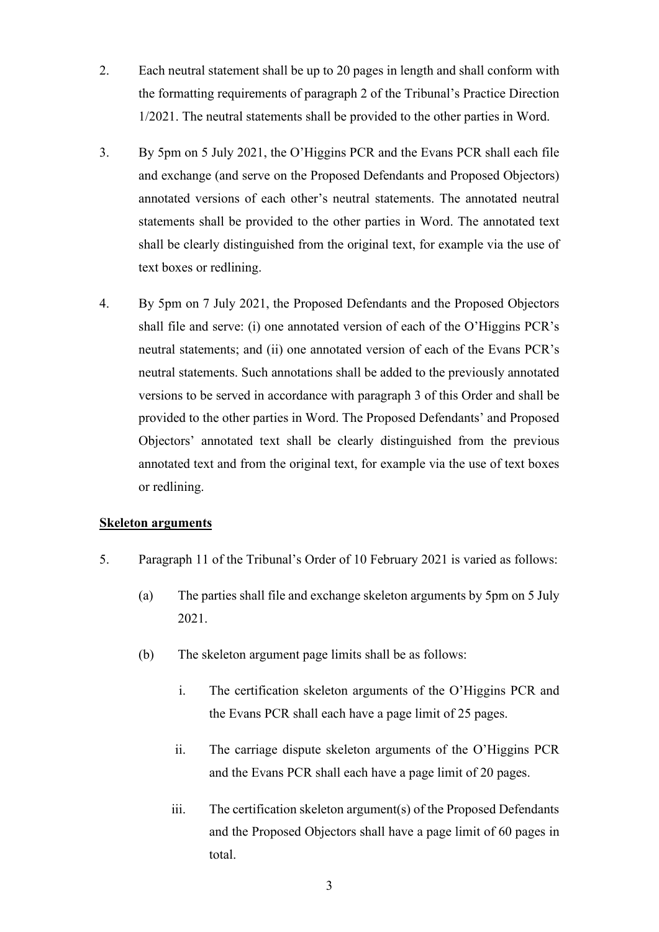- 2. Each neutral statement shall be up to 20 pages in length and shall conform with the formatting requirements of paragraph 2 of the Tribunal's Practice Direction 1/2021. The neutral statements shall be provided to the other parties in Word.
- <span id="page-2-0"></span>3. By 5pm on 5 July 2021, the O'Higgins PCR and the Evans PCR shall each file and exchange (and serve on the Proposed Defendants and Proposed Objectors) annotated versions of each other's neutral statements. The annotated neutral statements shall be provided to the other parties in Word. The annotated text shall be clearly distinguished from the original text, for example via the use of text boxes or redlining.
- 4. By 5pm on 7 July 2021, the Proposed Defendants and the Proposed Objectors shall file and serve: (i) one annotated version of each of the O'Higgins PCR's neutral statements; and (ii) one annotated version of each of the Evans PCR's neutral statements. Such annotations shall be added to the previously annotated versions to be served in accordance with paragraph [3](#page-2-0) of this Order and shall be provided to the other parties in Word. The Proposed Defendants' and Proposed Objectors' annotated text shall be clearly distinguished from the previous annotated text and from the original text, for example via the use of text boxes or redlining.

### **Skeleton arguments**

- 5. Paragraph 11 of the Tribunal's Order of 10 February 2021 is varied as follows:
	- (a) The parties shall file and exchange skeleton arguments by 5pm on 5 July 2021.
	- (b) The skeleton argument page limits shall be as follows:
		- i. The certification skeleton arguments of the O'Higgins PCR and the Evans PCR shall each have a page limit of 25 pages.
		- ii. The carriage dispute skeleton arguments of the O'Higgins PCR and the Evans PCR shall each have a page limit of 20 pages.
		- iii. The certification skeleton argument(s) of the Proposed Defendants and the Proposed Objectors shall have a page limit of 60 pages in total.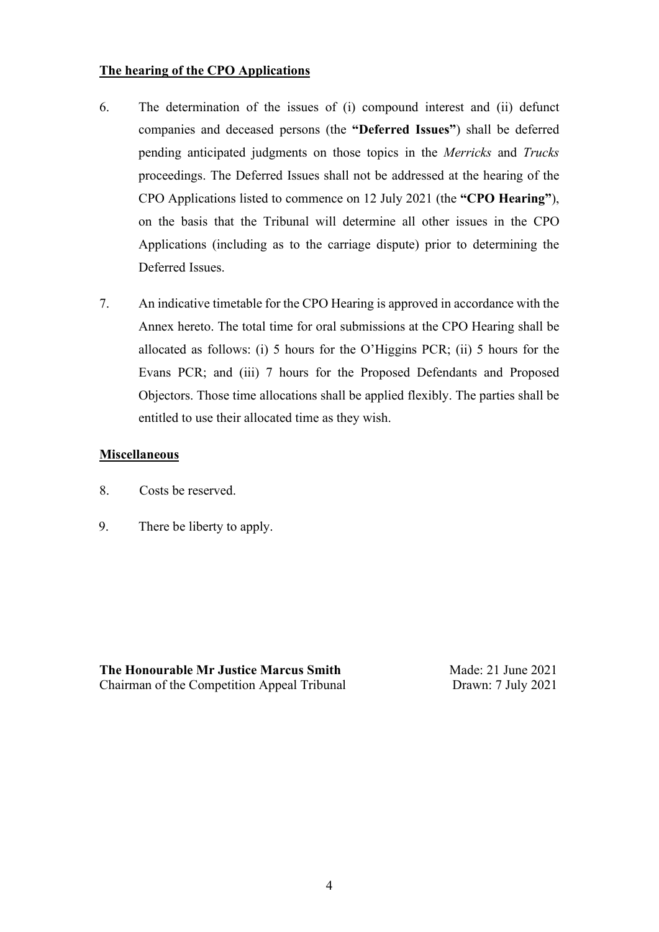## **The hearing of the CPO Applications**

- 6. The determination of the issues of (i) compound interest and (ii) defunct companies and deceased persons (the **"Deferred Issues"**) shall be deferred pending anticipated judgments on those topics in the *Merricks* and *Trucks*  proceedings. The Deferred Issues shall not be addressed at the hearing of the CPO Applications listed to commence on 12 July 2021 (the **"CPO Hearing"**), on the basis that the Tribunal will determine all other issues in the CPO Applications (including as to the carriage dispute) prior to determining the Deferred Issues.
- 7. An indicative timetable for the CPO Hearing is approved in accordance with the Annex hereto. The total time for oral submissions at the CPO Hearing shall be allocated as follows: (i) 5 hours for the O'Higgins PCR; (ii) 5 hours for the Evans PCR; and (iii) 7 hours for the Proposed Defendants and Proposed Objectors. Those time allocations shall be applied flexibly. The parties shall be entitled to use their allocated time as they wish.

## **Miscellaneous**

- 8. Costs be reserved.
- 9. There be liberty to apply.

**The Honourable Mr Justice Marcus Smith** Made: 21 June 2021 Chairman of the Competition Appeal Tribunal Drawn: 7 July 2021